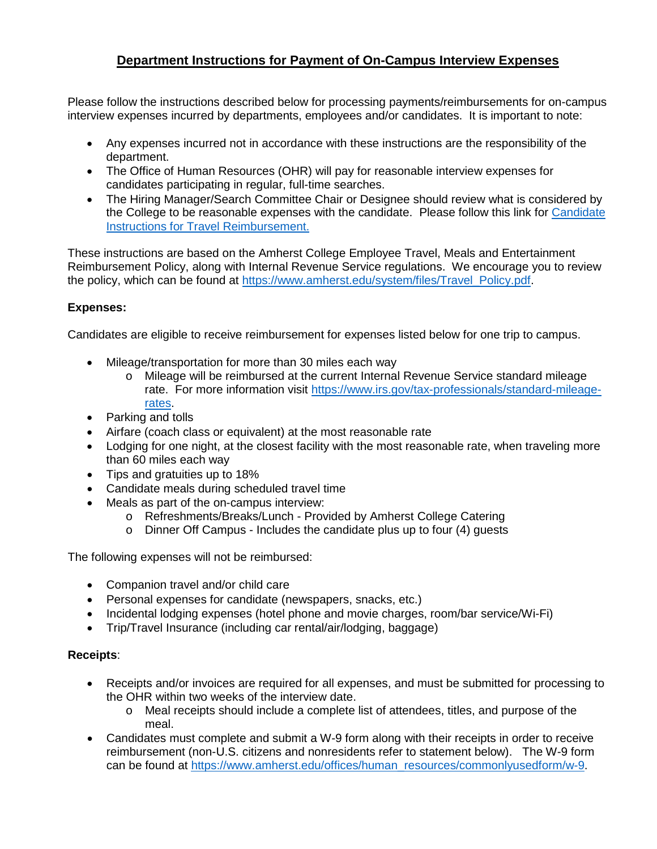## **Department Instructions for Payment of On-Campus Interview Expenses**

Please follow the instructions described below for processing payments/reimbursements for on-campus interview expenses incurred by departments, employees and/or candidates. It is important to note:

- Any expenses incurred not in accordance with these instructions are the responsibility of the department.
- The Office of Human Resources (OHR) will pay for reasonable interview expenses for candidates participating in regular, full-time searches.
- The Hiring Manager/Search Committee Chair or Designee should review what is considered by the College to be reasonable expenses with the candidate. Please follow this link for [Candidate](https://www.amherst.edu/system/files/media/Candidate%2520Instructions%2520for%2520Travel%2520Reimbursement.pdf)  [Instructions for Travel Reimbursement.](https://www.amherst.edu/system/files/media/Candidate%2520Instructions%2520for%2520Travel%2520Reimbursement.pdf)

These instructions are based on the Amherst College Employee Travel, Meals and Entertainment Reimbursement Policy, along with Internal Revenue Service regulations. We encourage you to review the policy, which can be found at [https://www.amherst.edu/system/files/Travel\\_Policy.pdf.](https://www.amherst.edu/system/files/Travel_Policy.pdf)

## **Expenses:**

Candidates are eligible to receive reimbursement for expenses listed below for one trip to campus.

- Mileage/transportation for more than 30 miles each way
	- o Mileage will be reimbursed at the current Internal Revenue Service standard mileage rate. For more information visit [https://www.irs.gov/tax-professionals/standard-mileage](https://www.irs.gov/tax-professionals/standard-mileage-rates)[rates.](https://www.irs.gov/tax-professionals/standard-mileage-rates)
- Parking and tolls
- Airfare (coach class or equivalent) at the most reasonable rate
- Lodging for one night, at the closest facility with the most reasonable rate, when traveling more than 60 miles each way
- Tips and gratuities up to 18%
- Candidate meals during scheduled travel time
- Meals as part of the on-campus interview:
	- o Refreshments/Breaks/Lunch Provided by Amherst College Catering
	- o Dinner Off Campus Includes the candidate plus up to four (4) guests

The following expenses will not be reimbursed:

- Companion travel and/or child care
- Personal expenses for candidate (newspapers, snacks, etc.)
- Incidental lodging expenses (hotel phone and movie charges, room/bar service/Wi-Fi)
- Trip/Travel Insurance (including car rental/air/lodging, baggage)

## **Receipts**:

- Receipts and/or invoices are required for all expenses, and must be submitted for processing to the OHR within two weeks of the interview date.
	- o Meal receipts should include a complete list of attendees, titles, and purpose of the meal.
- Candidates must complete and submit a W-9 form along with their receipts in order to receive reimbursement (non-U.S. citizens and nonresidents refer to statement below). The W-9 form can be found at [https://www.amherst.edu/offices/human\\_resources/commonlyusedform/w-9.](https://www.amherst.edu/offices/human_resources/commonlyusedform/w-9)